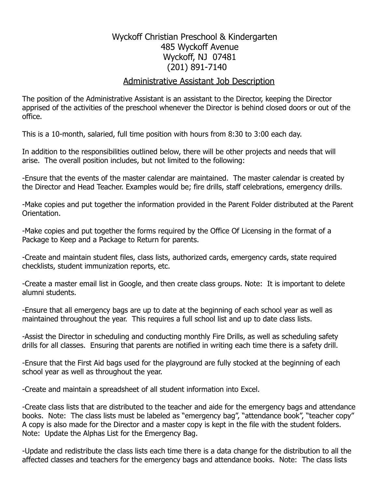## Wyckoff Christian Preschool & Kindergarten 485 Wyckoff Avenue Wyckoff, NJ 07481 (201) 891-7140

## Administrative Assistant Job Description

The position of the Administrative Assistant is an assistant to the Director, keeping the Director apprised of the activities of the preschool whenever the Director is behind closed doors or out of the office.

This is a 10-month, salaried, full time position with hours from 8:30 to 3:00 each day.

In addition to the responsibilities outlined below, there will be other projects and needs that will arise. The overall position includes, but not limited to the following:

-Ensure that the events of the master calendar are maintained. The master calendar is created by the Director and Head Teacher. Examples would be; fire drills, staff celebrations, emergency drills.

-Make copies and put together the information provided in the Parent Folder distributed at the Parent Orientation.

-Make copies and put together the forms required by the Office Of Licensing in the format of a Package to Keep and a Package to Return for parents.

-Create and maintain student files, class lists, authorized cards, emergency cards, state required checklists, student immunization reports, etc.

-Create a master email list in Google, and then create class groups. Note: It is important to delete alumni students.

-Ensure that all emergency bags are up to date at the beginning of each school year as well as maintained throughout the year. This requires a full school list and up to date class lists.

-Assist the Director in scheduling and conducting monthly Fire Drills, as well as scheduling safety drills for all classes. Ensuring that parents are notified in writing each time there is a safety drill.

-Ensure that the First Aid bags used for the playground are fully stocked at the beginning of each school year as well as throughout the year.

-Create and maintain a spreadsheet of all student information into Excel.

-Create class lists that are distributed to the teacher and aide for the emergency bags and attendance books. Note: The class lists must be labeled as "emergency bag", "attendance book", "teacher copy" A copy is also made for the Director and a master copy is kept in the file with the student folders. Note: Update the Alphas List for the Emergency Bag.

-Update and redistribute the class lists each time there is a data change for the distribution to all the affected classes and teachers for the emergency bags and attendance books. Note: The class lists